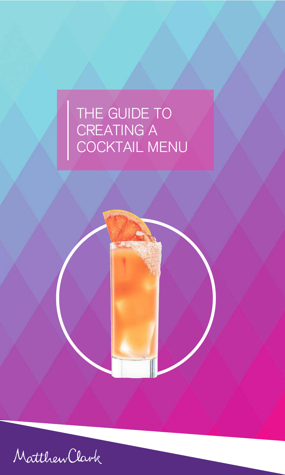# THE GUIDE TO CREATING A COCKTAIL MENU

MatthewClark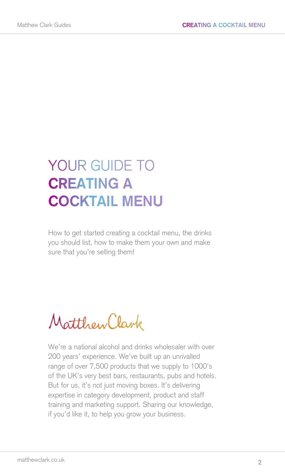# YOUR GUIDE TO **CREATING A COCKTAIL MENU**

How to get started creating a cocktail menu, the drinks you should list, how to make them your own and make sure that you're selling them!

Matthew Clark

We're a national alcohol and drinks wholesaler with over 200 years' experience. We've built up an unrivalled range of over 7,500 products that we supply to 1000's of the UK's very best bars, restaurants, pubs and hotels. But for us, it's not just moving boxes. It's delivering expertise in category development, product and staff training and marketing support. Sharing our knowledge, if you'd like it, to help you grow your business.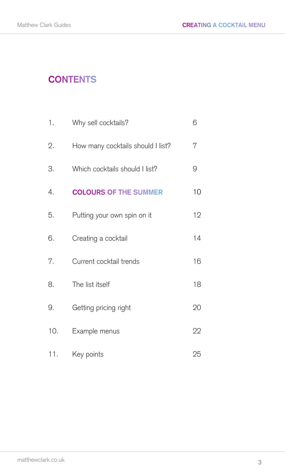## **CONTENTS**

| 1.  | Why sell cocktails?               | 6  |
|-----|-----------------------------------|----|
| 2.  | How many cocktails should I list? | 7  |
| З.  | Which cocktails should I list?    | 9  |
| 4.  | <b>COLOURS OF THE SUMMER</b>      | 10 |
| 5.  | Putting your own spin on it       | 12 |
| 6.  | Creating a cocktail               | 14 |
| 7.  | Current cocktail trends           | 16 |
| 8.  | The list itself                   | 18 |
| 9.  | Getting pricing right             | 20 |
| 10. | Example menus                     | 22 |
| 11. | Key points                        | 25 |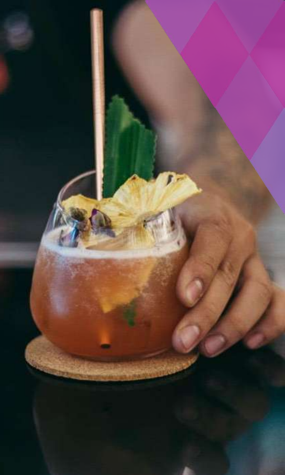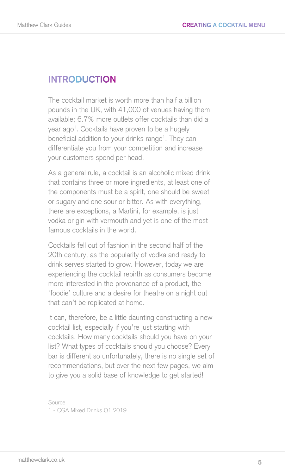## **INTRODUCTION**

The cocktail market is worth more than half a billion pounds in the UK, with 41,000 of venues having them available; 6.7% more outlets offer cocktails than did a year ago<sup>1</sup>. Cocktails have proven to be a hugely beneficial addition to your drinks range<sup>1</sup>. They can differentiate you from your competition and increase your customers spend per head.

As a general rule, a cocktail is an alcoholic mixed drink that contains three or more ingredients, at least one of the components must be a spirit, one should be sweet or sugary and one sour or bitter. As with everything, there are exceptions, a Martini, for example, is just vodka or gin with vermouth and yet is one of the most famous cocktails in the world.

Cocktails fell out of fashion in the second half of the 20th century, as the popularity of vodka and ready to drink serves started to grow. However, today we are experiencing the cocktail rebirth as consumers become more interested in the provenance of a product, the 'foodie' culture and a desire for theatre on a night out that can't be replicated at home.

It can, therefore, be a little daunting constructing a new cocktail list, especially if you're just starting with cocktails. How many cocktails should you have on your list? What types of cocktails should you choose? Every bar is different so unfortunately, there is no single set of recommendations, but over the next few pages, we aim to give you a solid base of knowledge to get started!

Source 1 - CGA Mixed Drinks Q1 2019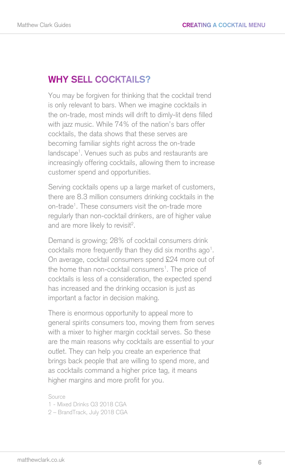## **WHY SELL COCKTAILS?**

You may be forgiven for thinking that the cocktail trend is only relevant to bars. When we imagine cocktails in the on-trade, most minds will drift to dimly-lit dens filled with jazz music. While 74% of the nation's bars offer cocktails, the data shows that these serves are becoming familiar sights right across the on-trade landscape<sup>1</sup>. Venues such as pubs and restaurants are increasingly offering cocktails, allowing them to increase customer spend and opportunities.

Serving cocktails opens up a large market of customers, there are 8.3 million consumers drinking cocktails in the on-trade<sup>1</sup>. These consumers visit the on-trade more regularly than non-cocktail drinkers, are of higher value and are more likely to revisit<sup>2</sup>.

Demand is growing; 28% of cocktail consumers drink cocktails more frequently than they did six months ago<sup>1</sup>. On average, cocktail consumers spend £24 more out of the home than non-cocktail consumers<sup>1</sup>. The price of cocktails is less of a consideration, the expected spend has increased and the drinking occasion is just as important a factor in decision making.

There is enormous opportunity to appeal more to general spirits consumers too, moving them from serves with a mixer to higher margin cocktail serves. So these are the main reasons why cocktails are essential to your outlet. They can help you create an experience that brings back people that are willing to spend more, and as cocktails command a higher price tag, it means higher margins and more profit for you.

Source

1 - Mixed Drinks Q3 2018 CGA

2 – BrandTrack, July 2018 CGA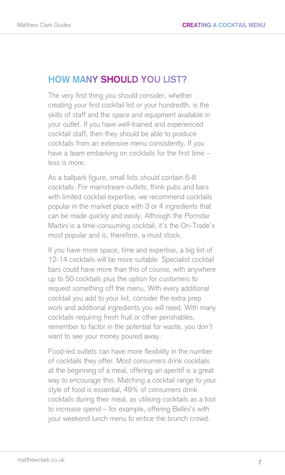## **HOW MANY SHOULD YOU LIST?**

The very first thing you should consider, whether creating your first cocktail list or your hundredth, is the skills of staff and the space and equipment available in your outlet. If you have well-trained and experienced cocktail staff, then they should be able to produce cocktails from an extensive menu consistently. If you have a team embarking on cocktails for the first time less is more.

As a ballpark figure, small lists should contain 6-8 cocktails. For mainstream outlets, think pubs and bars with limited cocktail expertise, we recommend cocktails popular in the market place with 3 or 4 ingredients that can be made quickly and easily. Although the Pornstar Martini is a time-consuming cocktail, it's the On-Trade's most popular and is, therefore, a must stock.

If you have more space, time and expertise, a big list of 12-14 cocktails will be more suitable. Specialist cocktail bars could have more than this of course, with anywhere up to 50 cocktails plus the option for customers to request something off the menu. With every additional cocktail you add to your list, consider the extra prep work and additional ingredients you will need. With many cocktails requiring fresh fruit or other perishables, remember to factor in the potential for waste, you don't want to see your money poured away.

Food-led outlets can have more flexibility in the number of cocktails they offer. Most consumers drink cocktails at the beginning of a meal, offering an aperitif is a great way to encourage this. Matching a cocktail range to your style of food is essential, 49% of consumers drink cocktails during their meal, as utilising cocktails as a tool to increase spend – for example, offering Bellini's with your weekend lunch menu to entice the brunch crowd.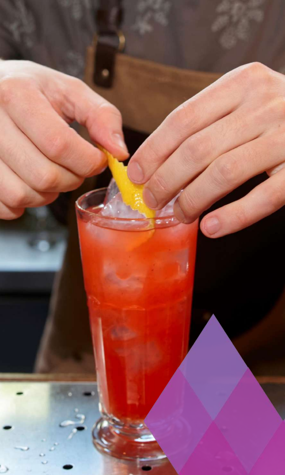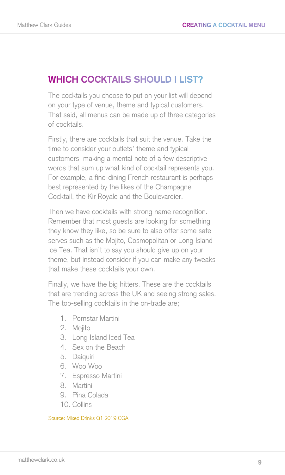## **WHICH COCKTAILS SHOULD I LIST?**

The cocktails you choose to put on your list will depend on your type of venue, theme and typical customers. That said, all menus can be made up of three categories of cocktails.

Firstly, there are cocktails that suit the venue. Take the time to consider your outlets' theme and typical customers, making a mental note of a few descriptive words that sum up what kind of cocktail represents you. For example, a fine-dining French restaurant is perhaps best represented by the likes of the Champagne Cocktail, the Kir Royale and the Boulevardier.

Then we have cocktails with strong name recognition. Remember that most guests are looking for something they know they like, so be sure to also offer some safe serves such as the Mojito, Cosmopolitan or Long Island Ice Tea. That isn't to say you should give up on your theme, but instead consider if you can make any tweaks that make these cocktails your own.

Finally, we have the big hitters. These are the cocktails that are trending across the UK and seeing strong sales. The top-selling cocktails in the on-trade are;

- 1. Pornstar Martini
- 2. Mojito
- 3. Long Island Iced Tea
- 4. Sex on the Beach
- 5. Daiquiri
- 6. Woo Woo
- 7. Espresso Martini
- 8. Martini
- 9. Pina Colada
- 10. Collins

#### Source: Mixed Drinks Q1 2019 CGA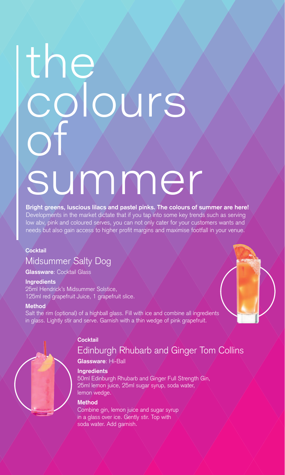# the colours of summer

**Bright greens, luscious lilacs and pastel pinks. The colours of summer are here!**  Developments in the market dictate that if you tap into some key trends such as serving low abv, pink and coloured serves, you can not only cater for your customers wants and needs but also gain access to higher profit margins and maximise footfall in your venue.

## **Cocktail** Midsummer Salty Dog

**Glassware**: Cocktail Glass

#### **Ingredients**

25ml Hendrick's Midsummer Solstice, 125ml red grapefruit Juice, 1 grapefruit slice.

#### **Method**

Salt the rim (optional) of a highball glass. Fill with ice and combine all ingredients in glass. Lightly stir and serve. Garnish with a thin wedge of pink grapefruit.

#### **Cocktail**

## Edinburgh Rhubarb and Ginger Tom Collins

**Glassware**: Hi-Ball

#### **Ingredients**

50ml Edinburgh Rhubarb and Ginger Full Strength Gin, 25ml lemon juice, 25ml sugar syrup, soda water, lemon wedge.

#### **Method**

Combine gin, lemon juice and sugar syrup in a glass over ice. Gently stir. Top with soda water. Add garnish.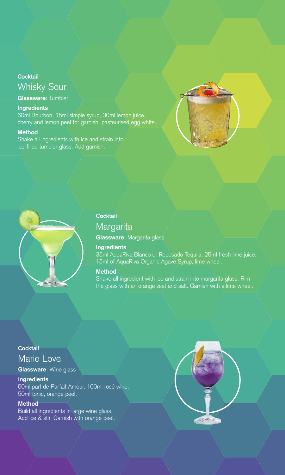## **Cocktail** Whisky Sour

#### **Glassware**: Tumbler

#### **Ingredients**

60ml Bourbon, 15ml simple syrup, 30ml lemon juice, cherry and lemon peel for garnish, pasteurised egg white.

#### **Method**

Shake all ingredients with ice and strain into ice-filled tumbler glass. Add garnish.





#### **Cocktail**

## Margarita

**Glassware**: Margarita glass

## **Ingredients**

35ml AquaRiva Blanco or Reposado Tequila, 25ml fresh lime juice, 15ml of AquaRiva Organic Agave Syrup, lime wheel.

#### **Method**

Shake all ingredient with ice and strain into margarita glass. Rim the glass with an orange zest and salt. Garnish with a lime wheel.

## **Cocktail** Marie Love

**Glassware**: Wine glass

#### **Ingredients**

50ml part de Parfait Amour, 100ml rosé wine, 50ml tonic, orange peel.

#### **Method**

Build all ingredients in large wine glass. Add ice & stir. Garnish with orange peel.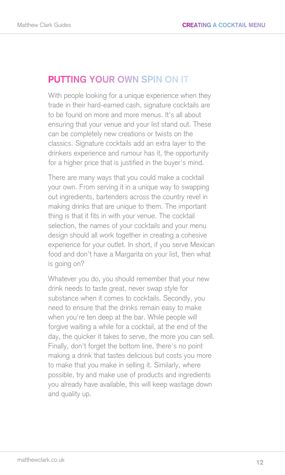## **PUTTING YOUR OWN SPIN ON IT**

With people looking for a unique experience when they trade in their hard-earned cash, signature cocktails are to be found on more and more menus. It's all about ensuring that your venue and your list stand out. These can be completely new creations or twists on the classics. Signature cocktails add an extra layer to the drinkers experience and rumour has it, the opportunity for a higher price that is justified in the buyer's mind.

There are many ways that you could make a cocktail your own. From serving it in a unique way to swapping out ingredients, bartenders across the country revel in making drinks that are unique to them. The important thing is that it fits in with your venue. The cocktail selection, the names of your cocktails and your menu design should all work together in creating a cohesive experience for your outlet. In short, if you serve Mexican food and don't have a Margarita on your list, then what is going on?

Whatever you do, you should remember that your new drink needs to taste great, never swap style for substance when it comes to cocktails. Secondly, you need to ensure that the drinks remain easy to make when you're ten deep at the bar. While people will forgive waiting a while for a cocktail, at the end of the day, the quicker it takes to serve, the more you can sell. Finally, don't forget the bottom line, there's no point making a drink that tastes delicious but costs you more to make that you make in selling it. Similarly, where possible, try and make use of products and ingredients you already have available, this will keep wastage down and quality up.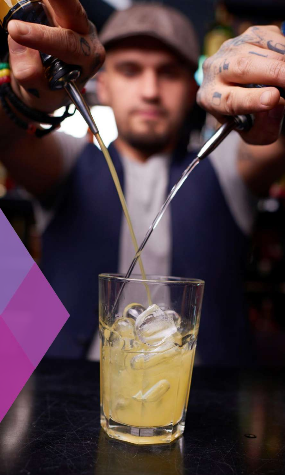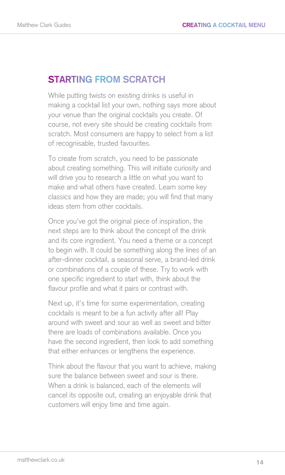## **STARTING FROM SCRATCH**

While putting twists on existing drinks is useful in making a cocktail list your own, nothing says more about your venue than the original cocktails you create. Of course, not every site should be creating cocktails from scratch. Most consumers are happy to select from a list of recognisable, trusted favourites.

To create from scratch, you need to be passionate about creating something. This will initiate curiosity and will drive you to research a little on what you want to make and what others have created. Learn some key classics and how they are made; you will find that many ideas stem from other cocktails.

Once you've got the original piece of inspiration, the next steps are to think about the concept of the drink and its core ingredient. You need a theme or a concept to begin with. It could be something along the lines of an after-dinner cocktail, a seasonal serve, a brand-led drink or combinations of a couple of these. Try to work with one specific ingredient to start with, think about the flavour profile and what it pairs or contrast with.

Next up, it's time for some experimentation, creating cocktails is meant to be a fun activity after all! Play around with sweet and sour as well as sweet and bitter there are loads of combinations available. Once you have the second ingredient, then look to add something that either enhances or lengthens the experience.

Think about the flavour that you want to achieve, making sure the balance between sweet and sour is there. When a drink is balanced, each of the elements will cancel its opposite out, creating an enjoyable drink that customers will enjoy time and time again.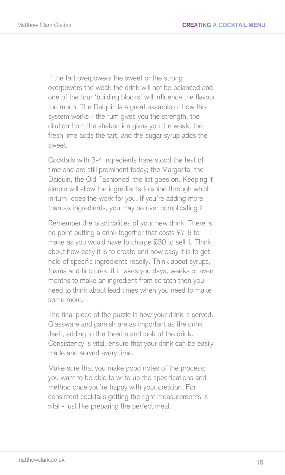If the tart overpowers the sweet or the strong overpowers the weak the drink will not be balanced and one of the four 'building blocks' will influence the flavour too much. The Daiquiri is a great example of how this system works - the rum gives you the strength, the dilution from the shaken ice gives you the weak, the fresh lime adds the tart, and the sugar syrup adds the sweet.

Cocktails with 3-4 ingredients have stood the test of time and are still prominent today; the Margarita, the Daiquiri, the Old Fashioned, the list goes on. Keeping it simple will allow the ingredients to shine through which in turn, does the work for you. If you're adding more than six ingredients, you may be over complicating it.

Remember the practicalities of your new drink. There is no point putting a drink together that costs £7-8 to make as you would have to charge £30 to sell it. Think about how easy it is to create and how easy it is to get hold of specific ingredients readily. Think about syrups, foams and tinctures, if it takes you days, weeks or even months to make an ingredient from scratch then you need to think about lead times when you need to make some more.

The final piece of the puzzle is how your drink is served. Glassware and garnish are as important as the drink itself, adding to the theatre and look of the drink. Consistency is vital, ensure that your drink can be easily made and served every time.

Make sure that you make good notes of the process; you want to be able to write up the specifications and method once you're happy with your creation. For consistent cocktails getting the right measurements is vital - just like preparing the perfect meal.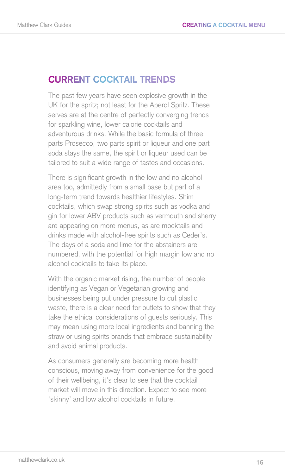## **CURRENT COCKTAIL TRENDS**

The past few years have seen explosive growth in the UK for the spritz; not least for the Aperol Spritz. These serves are at the centre of perfectly converging trends for sparkling wine, lower calorie cocktails and adventurous drinks. While the basic formula of three parts Prosecco, two parts spirit or liqueur and one part soda stays the same, the spirit or liqueur used can be tailored to suit a wide range of tastes and occasions.

There is significant growth in the low and no alcohol area too, admittedly from a small base but part of a long-term trend towards healthier lifestyles. Shim cocktails, which swap strong spirits such as vodka and gin for lower ABV products such as vermouth and sherry are appearing on more menus, as are mocktails and drinks made with alcohol-free spirits such as Ceder's. The days of a soda and lime for the abstainers are numbered, with the potential for high margin low and no alcohol cocktails to take its place.

With the organic market rising, the number of people identifying as Vegan or Vegetarian growing and businesses being put under pressure to cut plastic waste, there is a clear need for outlets to show that they take the ethical considerations of guests seriously. This may mean using more local ingredients and banning the straw or using spirits brands that embrace sustainability and avoid animal products.

As consumers generally are becoming more health conscious, moving away from convenience for the good of their wellbeing, it's clear to see that the cocktail market will move in this direction. Expect to see more 'skinny' and low alcohol cocktails in future.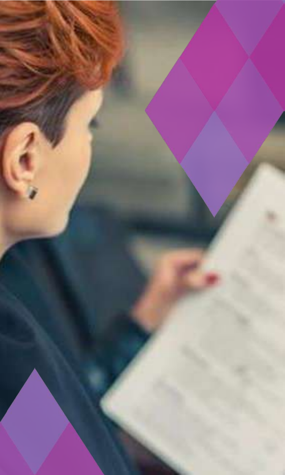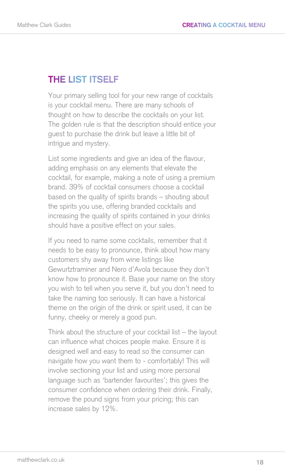## **THE LIST ITSELF**

Your primary selling tool for your new range of cocktails is your cocktail menu. There are many schools of thought on how to describe the cocktails on your list. The golden rule is that the description should entice your guest to purchase the drink but leave a little bit of intrigue and mystery.

List some ingredients and give an idea of the flavour, adding emphasis on any elements that elevate the cocktail, for example, making a note of using a premium brand. 39% of cocktail consumers choose a cocktail based on the quality of spirits brands – shouting about the spirits you use, offering branded cocktails and increasing the quality of spirits contained in your drinks should have a positive effect on your sales.

If you need to name some cocktails, remember that it needs to be easy to pronounce, think about how many customers shy away from wine listings like Gewurtztraminer and Nero d'Avola because they don't know how to pronounce it. Base your name on the story you wish to tell when you serve it, but you don't need to take the naming too seriously. It can have a historical theme on the origin of the drink or spirit used, it can be funny, cheeky or merely a good pun.

Think about the structure of your cocktail list – the layout can influence what choices people make. Ensure it is designed well and easy to read so the consumer can navigate how you want them to - comfortably! This will involve sectioning your list and using more personal language such as 'bartender favourites'; this gives the consumer confidence when ordering their drink. Finally, remove the pound signs from your pricing; this can increase sales by 12%.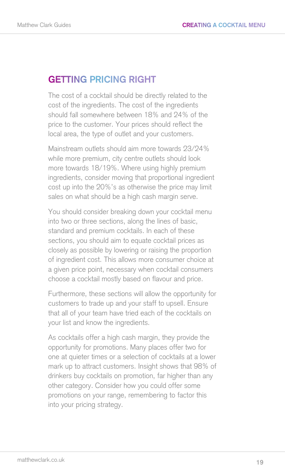## **GETTING PRICING RIGHT**

The cost of a cocktail should be directly related to the cost of the ingredients. The cost of the ingredients should fall somewhere between 18% and 24% of the price to the customer. Your prices should reflect the local area, the type of outlet and your customers.

Mainstream outlets should aim more towards 23/24% while more premium, city centre outlets should look more towards 18/19%. Where using highly premium ingredients, consider moving that proportional ingredient cost up into the 20%'s as otherwise the price may limit sales on what should be a high cash margin serve.

You should consider breaking down your cocktail menu into two or three sections, along the lines of basic, standard and premium cocktails. In each of these sections, you should aim to equate cocktail prices as closely as possible by lowering or raising the proportion of ingredient cost. This allows more consumer choice at a given price point, necessary when cocktail consumers choose a cocktail mostly based on flavour and price.

Furthermore, these sections will allow the opportunity for customers to trade up and your staff to upsell. Ensure that all of your team have tried each of the cocktails on your list and know the ingredients.

As cocktails offer a high cash margin, they provide the opportunity for promotions. Many places offer two for one at quieter times or a selection of cocktails at a lower mark up to attract customers. Insight shows that 98% of drinkers buy cocktails on promotion, far higher than any other category. Consider how you could offer some promotions on your range, remembering to factor this into your pricing strategy.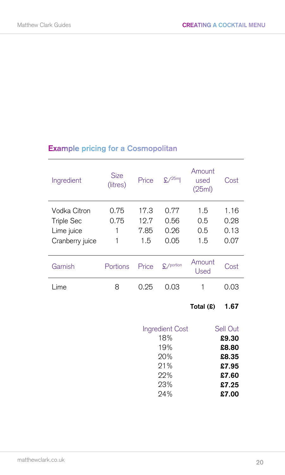## **Example pricing for a Cosmopolitan**

| Ingredient                                                         | <b>Size</b><br>(litres) | Price                       | $\frac{C}{25m}$               | Amount<br>used<br>(25ml) | Cost                         |
|--------------------------------------------------------------------|-------------------------|-----------------------------|-------------------------------|--------------------------|------------------------------|
| Vodka Citron<br><b>Triple Sec</b><br>Lime juice<br>Cranberry juice | 0.75<br>0.75<br>1<br>1  | 17.3<br>12.7<br>7.85<br>1.5 | 0.77<br>0.56<br>0.26<br>0.05  | 1.5<br>0.5<br>0.5<br>1.5 | 1.16<br>0.28<br>0.13<br>0.07 |
| Garnish                                                            | Portions                | Price                       | $\mathfrak{L}/\text{portion}$ | Amount<br>Used           | Cost                         |
| Lime                                                               | 8                       | 0.25                        | 0.03                          |                          | 0.03                         |

## **Total (£) 1.67**

| Sell Out |
|----------|
| £9.30    |
| £8.80    |
| £8.35    |
| £7.95    |
| £7.60    |
| £7.25    |
| £7.00    |
|          |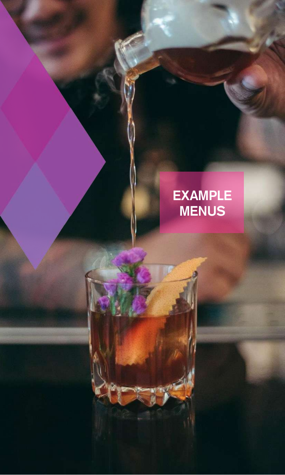## **EXAMPLE MENUS**

Matthew Clark Guides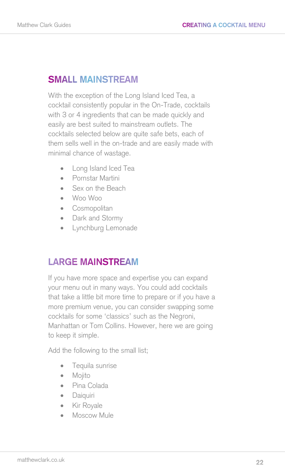## **SMALL MAINSTREAM**

With the exception of the Long Island Iced Tea, a cocktail consistently popular in the On-Trade, cocktails with 3 or 4 ingredients that can be made quickly and easily are best suited to mainstream outlets. The cocktails selected below are quite safe bets, each of them sells well in the on-trade and are easily made with minimal chance of wastage.

- Long Island Iced Tea
- **•** Pornstar Martini
- Sex on the Beach
- Woo Woo
- Cosmopolitan
- Dark and Stormy
- Lynchburg Lemonade

## **LARGE MAINSTREAM**

If you have more space and expertise you can expand your menu out in many ways. You could add cocktails that take a little bit more time to prepare or if you have a more premium venue, you can consider swapping some cocktails for some 'classics' such as the Negroni, Manhattan or Tom Collins. However, here we are going to keep it simple.

Add the following to the small list;

- **•** Tequila sunrise
- Mojito
- Pina Colada
- **•** Daiquiri
- Kir Royale
- Moscow Mule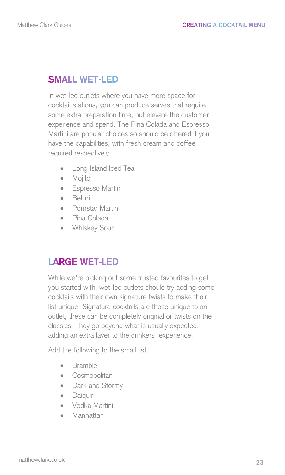## **SMALL WET-LED**

In wet-led outlets where you have more space for cocktail stations, you can produce serves that require some extra preparation time, but elevate the customer experience and spend. The Pina Colada and Espresso Martini are popular choices so should be offered if you have the capabilities, with fresh cream and coffee required respectively.

- Long Island Iced Tea
- Mojito
- **•** Espresso Martini
- **Bellini**
- Pornstar Martini
- Pina Colada
- Whiskey Sour

## **LARGE WET-LED**

While we're picking out some trusted favourites to get you started with, wet-led outlets should try adding some cocktails with their own signature twists to make their list unique. Signature cocktails are those unique to an outlet, these can be completely original or twists on the classics. They go beyond what is usually expected, adding an extra layer to the drinkers' experience.

Add the following to the small list;

- Bramble
- **•** Cosmopolitan
- Dark and Stormy
- **•** Daiquiri
- Vodka Martini
- Manhattan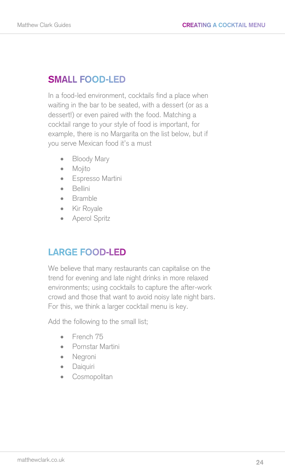## **SMALL FOOD-LED**

In a food-led environment, cocktails find a place when waiting in the bar to be seated, with a dessert (or as a dessert!) or even paired with the food. Matching a cocktail range to your style of food is important, for example, there is no Margarita on the list below, but if you serve Mexican food it's a must

- Bloody Mary
- Mojito
- **•** Espresso Martini
- **•** Bellini
- Bramble
- Kir Royale
- **•** Aperol Spritz

## **LARGE FOOD-LED**

We believe that many restaurants can capitalise on the trend for evening and late night drinks in more relaxed environments; using cocktails to capture the after-work crowd and those that want to avoid noisy late night bars. For this, we think a larger cocktail menu is key.

Add the following to the small list;

- French 75
- **•** Pornstar Martini
- Negroni
- Daiquiri
- **•** Cosmopolitan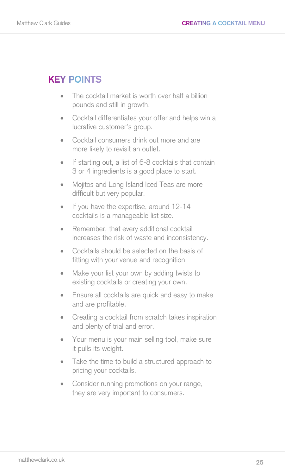## **KEY POINTS**

- The cocktail market is worth over half a billion pounds and still in growth.
- Cocktail differentiates your offer and helps win a lucrative customer's group.
- Cocktail consumers drink out more and are more likely to revisit an outlet.
- If starting out, a list of 6-8 cocktails that contain 3 or 4 ingredients is a good place to start.
- Mojitos and Long Island Iced Teas are more difficult but very popular.
- If you have the expertise, around 12-14 cocktails is a manageable list size.
- Remember, that every additional cocktail increases the risk of waste and inconsistency.
- Cocktails should be selected on the basis of fitting with your venue and recognition.
- Make your list your own by adding twists to existing cocktails or creating your own.
- Ensure all cocktails are quick and easy to make and are profitable.
- Creating a cocktail from scratch takes inspiration and plenty of trial and error.
- Your menu is your main selling tool, make sure it pulls its weight.
- Take the time to build a structured approach to pricing your cocktails.
- Consider running promotions on your range, they are very important to consumers.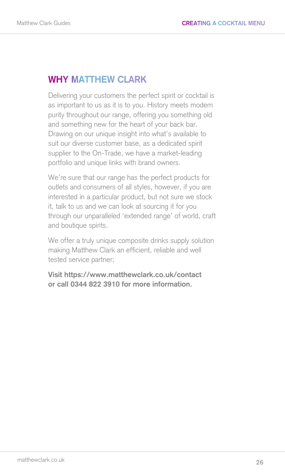## **WHY MATTHEW CLARK**

Delivering your customers the perfect spirit or cocktail is as important to us as it is to you. History meets modern purity throughout our range, offering you something old and something new for the heart of your back bar. Drawing on our unique insight into what's available to suit our diverse customer base, as a dedicated spirit supplier to the On-Trade, we have a market-leading portfolio and unique links with brand owners.

We're sure that our range has the perfect products for outlets and consumers of all styles, however, if you are interested in a particular product, but not sure we stock it, talk to us and we can look at sourcing it for you through our unparalleled 'extended range' of world, craft and boutique spirits.

We offer a truly unique composite drinks supply solution making Matthew Clark an efficient, reliable and well tested service partner;

**Visit https://www.matthewclark.co.uk/contact or call 0344 822 3910 for more information.**